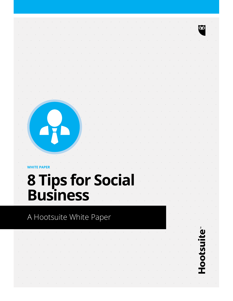**WHITE PAPER** 

# **8 Tips for Social Business**

### A Hootsuite White Paper

Hootsui

**CO**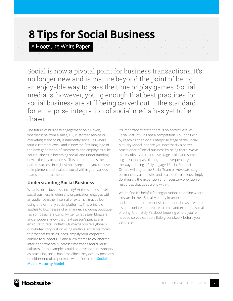### **8 Tips for Social Business**

A Hootsuite White Paper

Social is now a pivotal point for business transactions. It's no longer new and is mature beyond the point of being an enjoyable way to pass the time or play games. Social media is, however, young enough that best practices for social business are still being carved out – the standard for enterprise integration of social media has yet to be drawn.

The future of business engagement on all levels, whether it be from a sales, HR, customer service or marketing standpoint, is inherently social. It's where your customers dwell and is now the first language of the next generation of customers and employees alike. Your business is becoming social, and understanding how is the key to success. This paper outlines the path to success in eight simple steps that you can use to implement and evaluate social within your various teams and departments.

#### **Understanding Social Business**

What is social business, exactly? At the simplest level, social business is when any organization engages with an audience either internal or external, maybe both, using one or many social platforms. This principle applies to businesses of all manner, including boutique fashion designers using Twitter to let eager bloggers and shoppers know that next season's pieces are en route to retail outlets. Or maybe you're a globally distributed corporation using multiple social platforms to prospect for sales leads, amplify your corporate culture to support HR, and allow teams to collaborate inter-departmentally, across time zones and diverse cultures. Both examples could be described, reasonably, as practicing social business albeit they occupy positions on either end of a spectrum we define as the **Social Media Maturity Model**.

It's important to state there is no correct level of Social Maturity. It's not a competition. You don't win by reaching the Social Enterprise stage of the Social Maturity Model, nor are you necessarily a better practitioner of social business by being there. We've merely observed that these stages exist and some organizations pass through them sequentially on the way to being a fully engaged Social Enterprise. Others will stay at the Social Team or Advocate stage permanently as the size and scale of their needs simply don't justify the expansion and necessary provision of resources that goes along with it.

We do find it's helpful for organizations to define where they are in their Social Maturity in order to better understand their present situation and, in cases where it's appropriate, to prepare to scale and expand a social offering. Ultimately it's about knowing where you're headed so you can do a little groundwork before you get there.

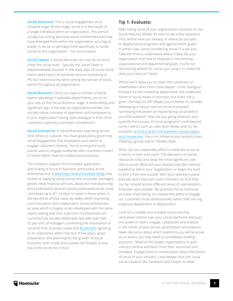**Social Advocate:** This is social engagement at its simplest stage. At this stage, social is in the hands of a single individual within an organization. This person usually has strong personal social involvement and may have emerged from within the organization as a logical leader in social, or perhaps hired specifically to tackle social for the organization – the social expert.

**Social Teams:** A Social Advocate can only do so much. Enter the social team. Typically the Social Team is departmentally focused. In the early days of social, these teams were nearly all centered around marketing or PR, but more recently we're seeing the spread of social teams throughout an organization.

**Social Business:** Once you have a number of social teams operating in separate departments, you're on your way to the Social Business stage. A more telling and significant sign is the way an organization handles the socially native concepts of openness and transparency. Is your organization having open dialogue in front of its customers, partners, and even competitors?

**Social Enterprise:** A Social Business operating across time zones or cultures. You have good policy governing social engagement that empowers your teams to engage customers directly. You're turning the tools you've used to engage outwardly with customers inward to foster better internal collaborative practices.

The numbers support the increased application and scaling of social in business, particularly at the enterprise end. [A McKinsey Global Institute study](http://www.mckinsey.com/insights/mgi/research/technology_and_innovation/the_social_economy) that looked at applying social across the consumer packaged goods, retail financial services, advanced manufacturing, and professional services sectors estimated social could contribute up to \$1.3 trillion in value in those areas. A full two-thirds of that value lay solely within improving communication and collaboration across enterprises, an area which is hugely under-developed with the same report stating that only 3 percent of enterprises are currently fully socially networked. But with over half, 52 percent, of managers confirming the importance of social to their business today and [82 percent](http://sloanreview.mit.edu/feature/social-business-value/) agreeing to its importance within the next three years, good preparation and planning for the growth of social business, both inside and outside the firewall, is now top-of-the-to-do-list critical.

#### **Tip 1: Evaluate:**

After taking stock of your organization's position on our Social Maturity Model, it's time to ask a few questions. First, where have you already or where do you plan to deploy social programs and against which goals? In either case, avoid considering social in a vacuum. Take the time to understand where it best fits your organization and how to integrate it into existing organizational and departmental goals. You're not reinventing wheels for social, just using it to make the ones you have turn faster.

Where will it allow you to reach the customers or stakeholders who most crave deeper, richer dialogue? Perhaps it's the marketing department, the traditional home of social media in business, but that's not a given. Perhaps it's HR? Maybe you're better to consider developing a robust internal social ecosystem, harnessing the power of inward-facing social before you look outward? How are you going measure and quantify the success of social programs? Look beyond vanity metrics such as Likes and Follows and try, for example, [to find a direct link between conversation](http://blog.hootsuite.com/caesars-adobe/)  [and conversion](http://blog.hootsuite.com/caesars-adobe/). Focus on influence and analytics over inflating a group size or follower base.

What can you reasonably afford to dedicate to social in terms of time and tools? The allocation of human resources is far and away the most significant cost tied to social. What will your team(s) look like? Identify leadership within your organization or begin the hunt to find it from the outside. With your team(s) in place, educate and cross-train team members so that they can be rotated across different areas of specialization. Empower your people. We practice this at Hootsuite as a way of providing our people the ability to engage our customers multi-dimensionally rather than silo-ing expertise department to department.

Look for a reliable and scalable social tool that centralizes control over your social platforms and puts the power to listen, engage, collaborate and analyze in the hands of your do-ers, practitioners and experts. Make decisions about which platforms you will be active on or where you may need to consolidate existing accounts. Observe the largest organizations in your industry vertical and learn from their successes and mistakes. Engage them in conversation about the future of social in your industry. Look deeper than the usual social suspects like Facebook and Twitter to other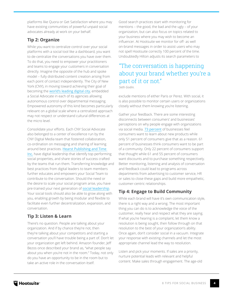platforms like Quora or Get Satisfaction where you may have existing communities of powerful unpaid social advocates already at work on your behalf.

#### **Tip 2: Organize**

While you want to centralize control over your social platforms with a social tool like a dashboard, you want to de-centralize the conversations you have over them. To do that, you need to empower your practitioners and teams to engage your customers in conversation directly. Imagine the opposite of the hub and spoke model – fully distributed content creation arising from each point of contact independently. The City of New York (CNY), in moving toward achieving their goal of becoming the [world's leading digital city](http://www.nyc.gov/html/digital/html/roadmap/roadmap.shtml), embedded a Social Advocate in each of its agencies allowing autonomous control over departmental messaging. Empowered autonomy of this kind becomes particularly relevant on a global scale where a centralized approach may not respect or understand cultural differences at the micro level.

Consolidate your efforts. Each CNY Social Advocate also belonged to a center of excellence run by the CNY Digital Media team that fostered collaboration, co-ordination on messaging and sharing of learning around best practices. [Hearst Publishing and Time](http://www.huffingtonpost.com/rachel-sterne/nycs-digital-roadmap-2011_b_1200550.html)  [Inc.](http://www.huffingtonpost.com/rachel-sterne/nycs-digital-roadmap-2011_b_1200550.html) have digital leadership that identify top performing social properties, and share stories of success crafted by the teams that run them. Transferring knowledge and best practices from digital leaders to team members further educates and empowers your Social Team to contribute to the conversation. Should the need or the desire to scale your social program arise, you have pre-trained your next generation of [social leadership](http://blog.hootsuite.com/video-seagate). Your social tools should also be able to grow along with you, enabling growth by being modular and flexible to facilitate even further decentralization, expansion, and conversation.

#### **Tip 3: Listen & Learn**

There's no question. People are talking about your organization. And if by chance they're not, then they're talking about your competitors and starting a conversation you'll have trouble being a part of. Don't let your organization get left behind. Amazon founder, Jeff Bezos once described your brand as, "what people say about you when you're not in the room." Today, not only do you have an opportunity to be in the room but to take an active role in the conversation itself.

Good search practices start with monitoring for mentions – the good, the bad and the ugly – of your organization, but can also focus on topics related to your business where you may wish to become an influencer. At Hootsuite we monitor for off- as well on-brand messages in order to assist users who may not spell Hootsuite correctly 100 percent of the time. Undoubtedly Hilton adjusts its search parameters to

#### "The conversation is happening about your brand whether you're a part of it or not."

*Seth Godin.*

exclude mentions of either Paris or Perez. With social, it is also possible to monitor certain users or organizations closely without them knowing you're listening.

Gather your feedback. There are some interesting disconnects between consumers' and businesses' perceptions on why people engage with organizations via social media. [73 percent](http://www.ibm.com/midmarket/uk/en/att/pdf/GBE03391USEN.pdf) of businesses feel consumers want to learn about new products while only 51 percent of consumers give that as a reason. 61 percent of businesses think consumers want to be part of a community. Only 22 percent of consumers support that thought while 61 and 55 percent of consumers want discounts and to purchase something respectively. Better monitoring, listening and analysis of conversation and feedback could lead to programs across departments from advertising to customer service, HR or sales to close these gaps and build more empathetic, customer-centric relationships.

#### **Tip 4: Engage to Build Community**

While each brand will have it's own communication style, there is a right way and a wrong. The most important thing you can do is to acknowledge the voice of the customer, really hear and respect what they are saying. If what you're hearing is a complaint, let them know a resolution is being sought, then follow through on that resolution to the best of your organization's ability. Once again, don't consider social in a vacuum. Integrate your response with existing channels and let the most appropriate channel lead the way to resolution.

Listen and pick your moments. If sales are a priority, nurture potential leads with relevant and helpful content. Make sales through engagement. The age-old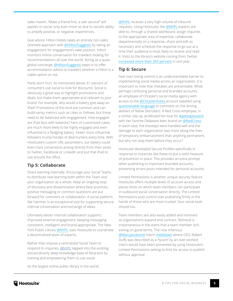sales maxim, "Make a friend first, a sale second" still applies to social, only even more so due to social's ability to amplify positive, or negative, experiences.

Give advice. Hilton Hotels takes an entirely non-sales oriented approach with [@HiltonSuggests](http://twitter.com/HiltonSuggests) by taking an engagement for engagement's sake position. Hilton monitors online conversation for travelers looking for recommendations all over the world. Acting as a quasi global concierge, [@HiltonSuggests](http://twitter.com/HiltonSuggests) steps in to offer accommodation advice to travelers whether a Hilton is a viable option or not.

Perks don't hurt. As mentioned above, 61 percent of consumers use social to look for discounts. Social is obviously a great way to highlight promotions and deals, but make them appropriate and relevant to your brand. For example, why would a bakery give away an iPad? Promotions of this kind are common and can build vanity metrics such as Likes or Follows, but those need to be balanced with engagement. How engaged are iPad fans with bakeries? Fans of customized cakes are much more likely to be highly engaged and even influential to a fledgling bakery. Fewer more influential followers trump hordes of deal hunters every time. With Hootsuite's custom URL parameters, our bakery could even track conversions arising directly from their posts to Twitter, Facebook or LinkedIn and put that iPad to use around the office.

#### **Tip 5: Collaborate**

Share learning internally. Encourage your Social Teams to distribute new learning both within the Team and your organization as a whole. Keep an ongoing loop of discovery and dissemination where best practices, positive messaging or common questions are put forward for comment or collaboration. A social platform like Yammer is an exceptional tool for supporting secure internal conversation and exchange of ideas.

Ultimately better internal collaboration supports improved external engagement, keeping messaging consistent, intelligent and brand-appropriate. The New York Public Library [@NYPL](http://twitter.com/NYPL) uses Hootsuite to coordinate a decentralized team of experts.

Rather than impose a centralized Social Team to respond to inquiries, [@NYPL](http://twitter.com/NYPL) tapped into the existing, extraordinarily deep knowledge base of librarians by training and empowering them to use social.

As the largest online public library in the world,

[@NYPL](http://twitter.com/NYPL) receives a very high volume of inbound requests. Using Hootsuite, the [@NYPL](http://twitter.com/NYPL) experts are able to, through a shared dashboard, assign inquiries to the appropriate area of expertise, collaborate departmentally on a response, share and edit as necessary and schedule the response to go out at a time their audience is most likely to receive and read it. Visits to the library's website coming from Twitter [increased more than 350 percent](http://blog.hootsuite.com/nypl-case/) in one year.

#### **Tip 6: Secure**

Fear over losing control is an understandable barrier to implementing social media across an organization. It is important to note that mistakes are preventable. While perhaps confusing personal and branded accounts, an employee of Chrysler's social media agency with access to the [@ChryslerAutos](http://twitter.com/ChryslerAutos) account tweeted using [questionable language]([http://mashable.com/2011/03/09/chrysler-drops-the-f-bomb-on-twitter/) to comment on the driving abilities of fellow Detroiters. A Red Cross employee, in a similar slip-up, professed her love for [#gettngslizzerd](http://mashable.com/2011/02/16/red-cross-tweet/]) with her favorite Delaware beer brand on [@RedCross](http://twitter.com/redcross). In each case, the missteps were handled well and the damage to each organization was more along the lines of temporary embarrassment than anything permanent, but why not stop them before they occur?

Hootsuite developed Secure Profiles specifically in response to instances like these to put a solid measure of prevention in place. This provides an extra prompt when publishing to important branded accounts, preventing errant posts intended for personal accounts.

Limited Permissions is another unique security feature. Hootsuite offers multiple levels of account access and places limits on which team members can participate in outbound social conversation directly. The Limited Permissions puts control over publishing firmly in the hands of those who are most trusted. Your social tools should too.

Team members are also easily added and removed as organizations expand and contract. Removal is instantaneous in the event that a team member isn't exiting on good terms. The now infamous [@MarcJacobsintl](http://twitter.com/MarcJacobsintl) intern [meltdown](http://mashable.com/2011/03/28/marc-jacobs-twitter-intern-meltdown/) where CEO, Robert Duffy was described as a "tyrant" by an over-worked intern would have been prevented by using Hootsuite's Limited Permissions setting to limit his access to publish without approval.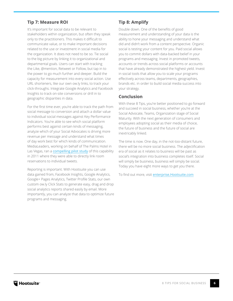#### **Tip 7: Measure ROI**

It's important for social data to be relevant to stakeholders within organization, but often they speak only to the practitioners. This makes it difficult to communicate value, or to make important decisions related to the use or investment in social media for the organization. It does not need to be so. Tie social to the big picture by linking it to organizational and departmental goals. Users can start with tracking the Like, @mention, Retweet or Follow, but tap in to the power to go much further and deeper. Build the capacity for measurement into every social action. Use URL shorteners, like our own ow.ly links, to track your click-throughs. Integrate Google Analytics and Facebook Insights to track on-site conversions or drill in to geographic disparities in data.

For the first time ever, you're able to track the path from social message to conversion and attach a dollar value to individual social messages against Key Performance Indicators. You're able to see which social platform performs best against certain kinds of messaging, analyze which of your Social Advocates is driving more revenue per message and understand what times of day work best for which kinds of communication. MediaLeaders, working on behalf of The Palms Hotel in Las Vegas, ran a [compelling pilot study](http://blog.hootsuite.com/anatomy-tweet-case/) of this capability in 2011 where they were able to directly link room reservations to individual tweets.

Reporting is important. With Hootsuite you can use data gained from, Facebook Insights, Google Analytics, Google+ Pages Analytics, Twitter Profile Stats, our own custom ow.ly Click Stats to generate easy, drag and drop social analytics reports shared easily by email. More importantly, you can analyze that data to optimize future programs and messaging.

#### **Tip 8: Amplify**

Double down. One of the benefits of good measurement and understanding of your data is the ability to hone your messaging and understand what did and didn't work from a content perspective. Organic social is testing your content for you. Paid social allows you to commit dollars with data-backed belief in your programs and messaging. Invest in promoted tweets, accounts or trends across social platforms or accounts that have already demonstrated the highest yield. Invest in social tools that allow you to scale your programs effectively across teams, departments, geographies, brands etc. in order to build social media success into your strategy.

#### **Conclusion**

With these 8 Tips, you're better positioned to go forward and succeed in social business, whether you're at the Social Advocate, Teams, Organization stage of Social Maturity. With the next generation of consumers and employees adopting social as their media of choice, the future of business and the future of social are inextricably linked.

The time is now. One day, in the not-too-distant future, there will be no more social business. The adjectification era of social as it relates to business will be past as social's integration into business completes itself. Social will simply be business, business will simply be social. Today you have eight more ways to get you there.

To find out more, visit [enterprise.Hootsuite.com](http://enterprise.hootsuite.com)